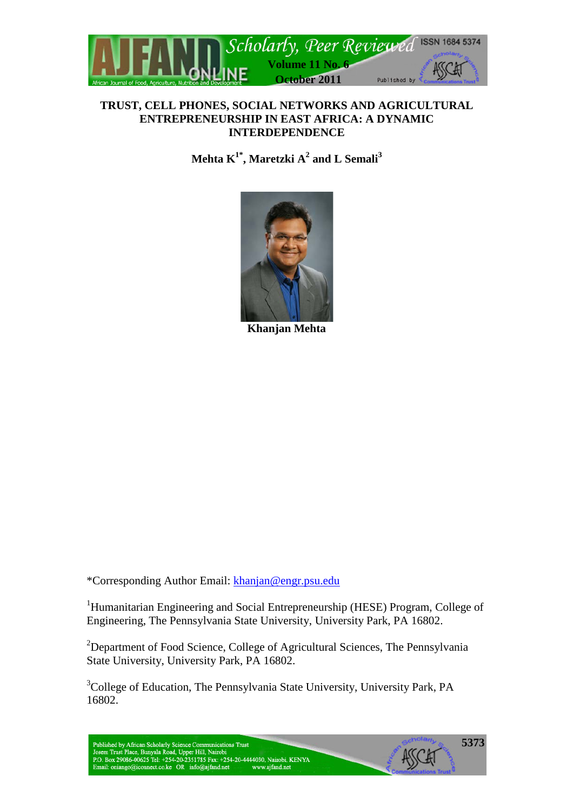

### **TRUST, CELL PHONES, SOCIAL NETWORKS AND AGRICULTURAL ENTREPRENEURSHIP IN EAST AFRICA: A DYNAMIC INTERDEPENDENCE**

 $\mathbf{M}$ ehta  $\mathbf{K}^{1^*}, \mathbf{M}$ aretzki  $\mathbf{A}^2$  and  $\mathbf{L}$  Semali $^3$ 



**Khanjan Mehta**

\*Corresponding Author Email: [khanjan@engr.psu.edu](mailto:khanjan@engr.psu.edu)

<sup>1</sup>Humanitarian Engineering and Social Entrepreneurship (HESE) Program, College of Engineering, The Pennsylvania State University, University Park, PA 16802.

<sup>2</sup>Department of Food Science, College of Agricultural Sciences, The Pennsylvania State University, University Park, PA 16802.

<sup>3</sup>College of Education, The Pennsylvania State University, University Park, PA 16802.

Published by African Scholarly Science Communications Trust<br>Josem Trust Place, Bunyala Road, Upper Hill, Nairobi<br>P.O. Box 29086-00625 Tel: +254-20-2351785 Fax: +254-20-4444030, Nairobi, KENYA Email: oniango@iconnect.co.ke OR info@ajfand.net www.ajfand.net

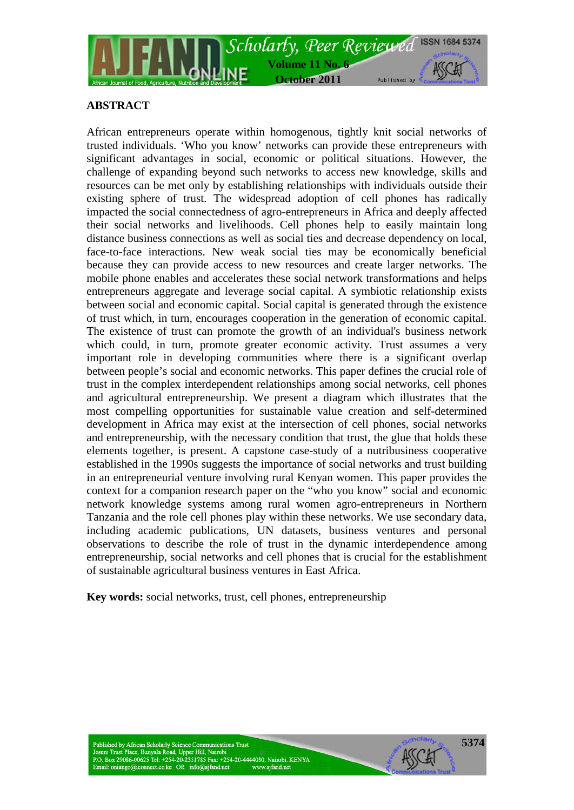

## **ABSTRACT**

African entrepreneurs operate within homogenous, tightly knit social networks of trusted individuals. 'Who you know' networks can provide these entrepreneurs with significant advantages in social, economic or political situations. However, the challenge of expanding beyond such networks to access new knowledge, skills and resources can be met only by establishing relationships with individuals outside their existing sphere of trust. The widespread adoption of cell phones has radically impacted the social connectedness of agro-entrepreneurs in Africa and deeply affected their social networks and livelihoods. Cell phones help to easily maintain long distance business connections as well as social ties and decrease dependency on local, face-to-face interactions. New weak social ties may be economically beneficial because they can provide access to new resources and create larger networks. The mobile phone enables and accelerates these social network transformations and helps entrepreneurs aggregate and leverage social capital. A symbiotic relationship exists between social and economic capital. Social capital is generated through the existence of trust which, in turn, encourages cooperation in the generation of economic capital. The existence of trust can promote the growth of an individual's business network which could, in turn, promote greater economic activity. Trust assumes a very important role in developing communities where there is a significant overlap between people's social and economic networks. This paper defines the crucial role of trust in the complex interdependent relationships among social networks, cell phones and agricultural entrepreneurship. We present a diagram which illustrates that the most compelling opportunities for sustainable value creation and self-determined development in Africa may exist at the intersection of cell phones, social networks and entrepreneurship, with the necessary condition that trust, the glue that holds these elements together, is present. A capstone case-study of a nutribusiness cooperative established in the 1990s suggests the importance of social networks and trust building in an entrepreneurial venture involving rural Kenyan women. This paper provides the context for a companion research paper on the "who you know" social and economic network knowledge systems among rural women agro-entrepreneurs in Northern Tanzania and the role cell phones play within these networks. We use secondary data, including academic publications, UN datasets, business ventures and personal observations to describe the role of trust in the dynamic interdependence among entrepreneurship, social networks and cell phones that is crucial for the establishment of sustainable agricultural business ventures in East Africa.

**Key words:** social networks, trust, cell phones, entrepreneurship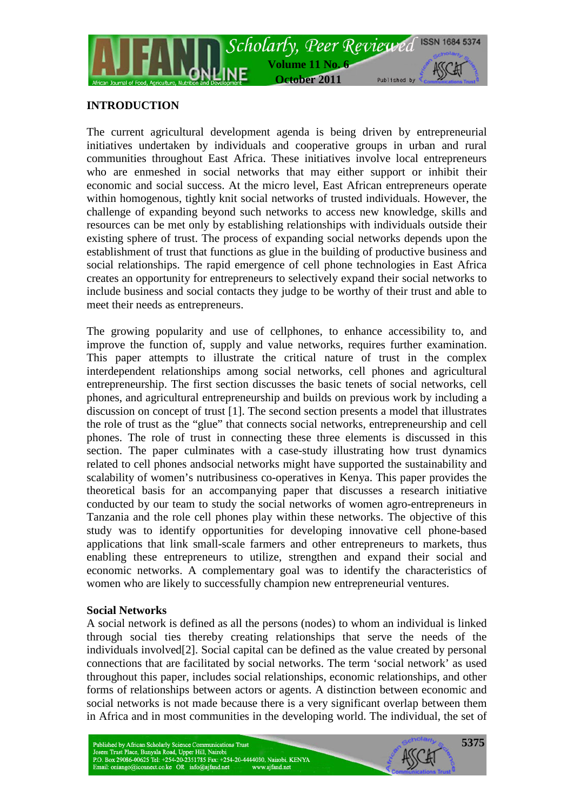

## **INTRODUCTION**

The current agricultural development agenda is being driven by entrepreneurial initiatives undertaken by individuals and cooperative groups in urban and rural communities throughout East Africa. These initiatives involve local entrepreneurs who are enmeshed in social networks that may either support or inhibit their economic and social success. At the micro level, East African entrepreneurs operate within homogenous, tightly knit social networks of trusted individuals. However, the challenge of expanding beyond such networks to access new knowledge, skills and resources can be met only by establishing relationships with individuals outside their existing sphere of trust. The process of expanding social networks depends upon the establishment of trust that functions as glue in the building of productive business and social relationships. The rapid emergence of cell phone technologies in East Africa creates an opportunity for entrepreneurs to selectively expand their social networks to include business and social contacts they judge to be worthy of their trust and able to meet their needs as entrepreneurs.

The growing popularity and use of cellphones, to enhance accessibility to, and improve the function of, supply and value networks, requires further examination. This paper attempts to illustrate the critical nature of trust in the complex interdependent relationships among social networks, cell phones and agricultural entrepreneurship. The first section discusses the basic tenets of social networks, cell phones, and agricultural entrepreneurship and builds on previous work by including a discussion on concept of trust [1]. The second section presents a model that illustrates the role of trust as the "glue" that connects social networks, entrepreneurship and cell phones. The role of trust in connecting these three elements is discussed in this section. The paper culminates with a case-study illustrating how trust dynamics related to cell phones andsocial networks might have supported the sustainability and scalability of women's nutribusiness co-operatives in Kenya. This paper provides the theoretical basis for an accompanying paper that discusses a research initiative conducted by our team to study the social networks of women agro-entrepreneurs in Tanzania and the role cell phones play within these networks. The objective of this study was to identify opportunities for developing innovative cell phone-based applications that link small-scale farmers and other entrepreneurs to markets, thus enabling these entrepreneurs to utilize, strengthen and expand their social and economic networks. A complementary goal was to identify the characteristics of women who are likely to successfully champion new entrepreneurial ventures.

#### **Social Networks**

A social network is defined as all the persons (nodes) to whom an individual is linked through social ties thereby creating relationships that serve the needs of the individuals involved[2]. Social capital can be defined as the value created by personal connections that are facilitated by social networks. The term 'social network' as used throughout this paper, includes social relationships, economic relationships, and other forms of relationships between actors or agents. A distinction between economic and social networks is not made because there is a very significant overlap between them in Africa and in most communities in the developing world. The individual, the set of

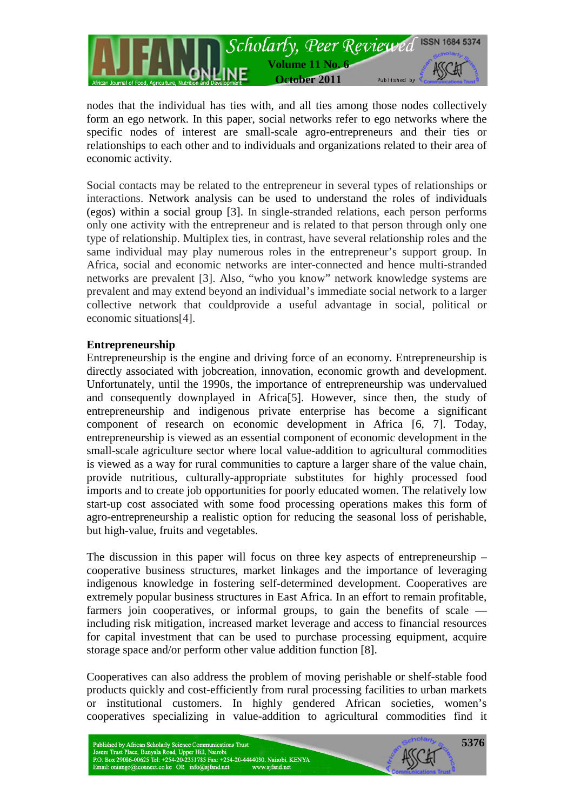

nodes that the individual has ties with, and all ties among those nodes collectively form an ego network. In this paper, social networks refer to ego networks where the specific nodes of interest are small-scale agro-entrepreneurs and their ties or relationships to each other and to individuals and organizations related to their area of economic activity.

Social contacts may be related to the entrepreneur in several types of relationships or interactions. Network analysis can be used to understand the roles of individuals (egos) within a social group [3]. In single-stranded relations, each person performs only one activity with the entrepreneur and is related to that person through only one type of relationship. Multiplex ties, in contrast, have several relationship roles and the same individual may play numerous roles in the entrepreneur's support group. In Africa, social and economic networks are inter-connected and hence multi-stranded networks are prevalent [3]. Also, "who you know" network knowledge systems are prevalent and may extend beyond an individual's immediate social network to a larger collective network that couldprovide a useful advantage in social, political or economic situations[4].

## **Entrepreneurship**

Entrepreneurship is the engine and driving force of an economy. Entrepreneurship is directly associated with jobcreation, innovation, economic growth and development. Unfortunately, until the 1990s, the importance of entrepreneurship was undervalued and consequently downplayed in Africa[5]. However, since then, the study of entrepreneurship and indigenous private enterprise has become a significant component of research on economic development in Africa [6, 7]. Today, entrepreneurship is viewed as an essential component of economic development in the small-scale agriculture sector where local value-addition to agricultural commodities is viewed as a way for rural communities to capture a larger share of the value chain, provide nutritious, culturally-appropriate substitutes for highly processed food imports and to create job opportunities for poorly educated women. The relatively low start-up cost associated with some food processing operations makes this form of agro-entrepreneurship a realistic option for reducing the seasonal loss of perishable, but high-value, fruits and vegetables.

The discussion in this paper will focus on three key aspects of entrepreneurship – cooperative business structures, market linkages and the importance of leveraging indigenous knowledge in fostering self-determined development. Cooperatives are extremely popular business structures in East Africa. In an effort to remain profitable, farmers join cooperatives, or informal groups, to gain the benefits of scale including risk mitigation, increased market leverage and access to financial resources for capital investment that can be used to purchase processing equipment, acquire storage space and/or perform other value addition function [8].

Cooperatives can also address the problem of moving perishable or shelf-stable food products quickly and cost-efficiently from rural processing facilities to urban markets or institutional customers. In highly gendered African societies, women's cooperatives specializing in value-addition to agricultural commodities find it

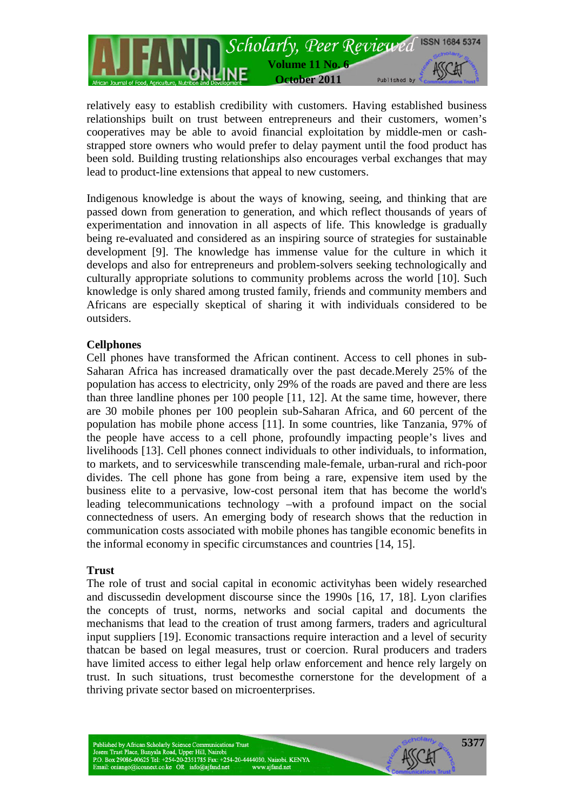

relatively easy to establish credibility with customers. Having established business relationships built on trust between entrepreneurs and their customers, women's cooperatives may be able to avoid financial exploitation by middle-men or cashstrapped store owners who would prefer to delay payment until the food product has been sold. Building trusting relationships also encourages verbal exchanges that may lead to product-line extensions that appeal to new customers.

Indigenous knowledge is about the ways of knowing, seeing, and thinking that are passed down from generation to generation, and which reflect thousands of years of experimentation and innovation in all aspects of life. This knowledge is gradually being re-evaluated and considered as an inspiring source of strategies for sustainable development [9]. The knowledge has immense value for the culture in which it develops and also for entrepreneurs and problem-solvers seeking technologically and culturally appropriate solutions to community problems across the world [10]. Such knowledge is only shared among trusted family, friends and community members and Africans are especially skeptical of sharing it with individuals considered to be outsiders.

## **Cellphones**

Cell phones have transformed the African continent. Access to cell phones in sub-Saharan Africa has increased dramatically over the past decade.Merely 25% of the population has access to electricity, only 29% of the roads are paved and there are less than three landline phones per 100 people [11, 12]. At the same time, however, there are 30 mobile phones per 100 peoplein sub-Saharan Africa, and 60 percent of the population has mobile phone access [11]. In some countries, like Tanzania, 97% of the people have access to a cell phone, profoundly impacting people's lives and livelihoods [13]. Cell phones connect individuals to other individuals, to information, to markets, and to serviceswhile transcending male-female, urban-rural and rich-poor divides. The cell phone has gone from being a rare, expensive item used by the business elite to a pervasive, low-cost personal item that has become the world's leading telecommunications technology –with a profound impact on the social connectedness of users. An emerging body of research shows that the reduction in communication costs associated with mobile phones has tangible economic benefits in the informal economy in specific circumstances and countries [14, 15].

#### **Trust**

The role of trust and social capital in economic activityhas been widely researched and discussedin development discourse since the 1990s [16, 17, 18]. Lyon clarifies the concepts of trust, norms, networks and social capital and documents the mechanisms that lead to the creation of trust among farmers, traders and agricultural input suppliers [19]. Economic transactions require interaction and a level of security thatcan be based on legal measures, trust or coercion. Rural producers and traders have limited access to either legal help orlaw enforcement and hence rely largely on trust. In such situations, trust becomesthe cornerstone for the development of a thriving private sector based on microenterprises.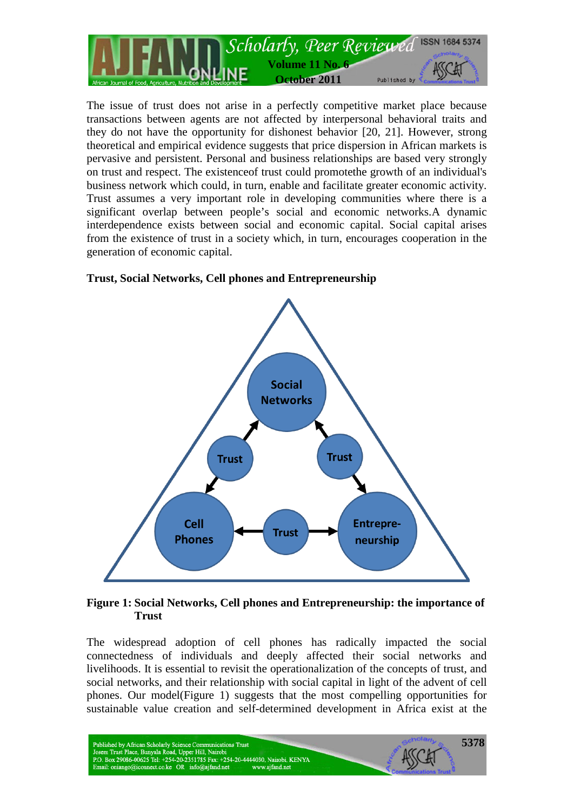

The issue of trust does not arise in a perfectly competitive market place because transactions between agents are not affected by interpersonal behavioral traits and they do not have the opportunity for dishonest behavior [20, 21]. However, strong theoretical and empirical evidence suggests that price dispersion in African markets is pervasive and persistent. Personal and business relationships are based very strongly on trust and respect. The existenceof trust could promotethe growth of an individual's business network which could, in turn, enable and facilitate greater economic activity. Trust assumes a very important role in developing communities where there is a significant overlap between people's social and economic networks.A dynamic interdependence exists between social and economic capital. Social capital arises from the existence of trust in a society which, in turn, encourages cooperation in the generation of economic capital.

# **Trust, Social Networks, Cell phones and Entrepreneurship**



## **Figure 1: Social Networks, Cell phones and Entrepreneurship: the importance of Trust**

The widespread adoption of cell phones has radically impacted the social connectedness of individuals and deeply affected their social networks and livelihoods. It is essential to revisit the operationalization of the concepts of trust, and social networks, and their relationship with social capital in light of the advent of cell phones. Our model(Figure 1) suggests that the most compelling opportunities for sustainable value creation and self-determined development in Africa exist at the



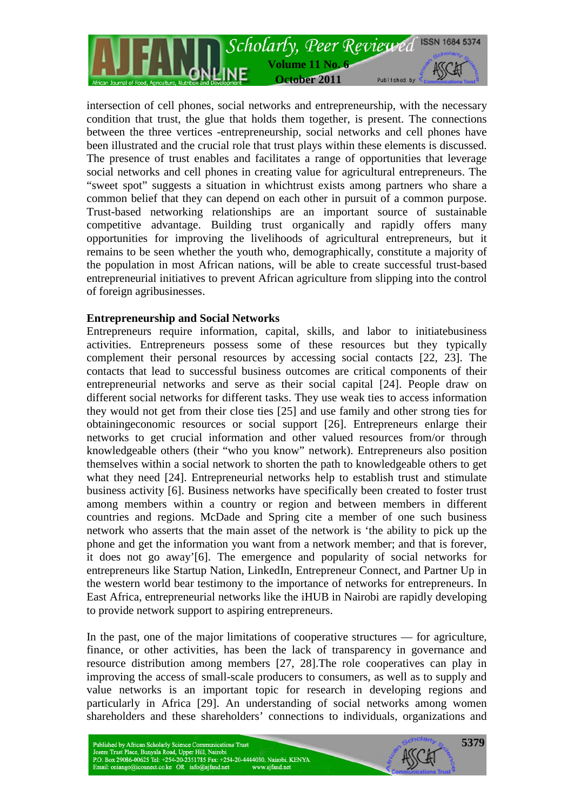

intersection of cell phones, social networks and entrepreneurship, with the necessary condition that trust, the glue that holds them together, is present. The connections between the three vertices -entrepreneurship, social networks and cell phones have been illustrated and the crucial role that trust plays within these elements is discussed. The presence of trust enables and facilitates a range of opportunities that leverage social networks and cell phones in creating value for agricultural entrepreneurs. The "sweet spot" suggests a situation in whichtrust exists among partners who share a common belief that they can depend on each other in pursuit of a common purpose. Trust-based networking relationships are an important source of sustainable competitive advantage. Building trust organically and rapidly offers many opportunities for improving the livelihoods of agricultural entrepreneurs, but it remains to be seen whether the youth who, demographically, constitute a majority of the population in most African nations, will be able to create successful trust-based entrepreneurial initiatives to prevent African agriculture from slipping into the control of foreign agribusinesses.

## **Entrepreneurship and Social Networks**

Entrepreneurs require information, capital, skills, and labor to initiatebusiness activities. Entrepreneurs possess some of these resources but they typically complement their personal resources by accessing social contacts [22, 23]. The contacts that lead to successful business outcomes are critical components of their entrepreneurial networks and serve as their social capital [24]. People draw on different social networks for different tasks. They use weak ties to access information they would not get from their close ties [25] and use family and other strong ties for obtainingeconomic resources or social support [26]. Entrepreneurs enlarge their networks to get crucial information and other valued resources from/or through knowledgeable others (their "who you know" network). Entrepreneurs also position themselves within a social network to shorten the path to knowledgeable others to get what they need [24]. Entrepreneurial networks help to establish trust and stimulate business activity [6]. Business networks have specifically been created to foster trust among members within a country or region and between members in different countries and regions. McDade and Spring cite a member of one such business network who asserts that the main asset of the network is 'the ability to pick up the phone and get the information you want from a network member; and that is forever, it does not go away'[6]. The emergence and popularity of social networks for entrepreneurs like Startup Nation, LinkedIn, Entrepreneur Connect, and Partner Up in the western world bear testimony to the importance of networks for entrepreneurs. In East Africa, entrepreneurial networks like the iHUB in Nairobi are rapidly developing to provide network support to aspiring entrepreneurs.

In the past, one of the major limitations of cooperative structures — for agriculture, finance, or other activities, has been the lack of transparency in governance and resource distribution among members [27, 28].The role cooperatives can play in improving the access of small-scale producers to consumers, as well as to supply and value networks is an important topic for research in developing regions and particularly in Africa [29]. An understanding of social networks among women shareholders and these shareholders' connections to individuals, organizations and

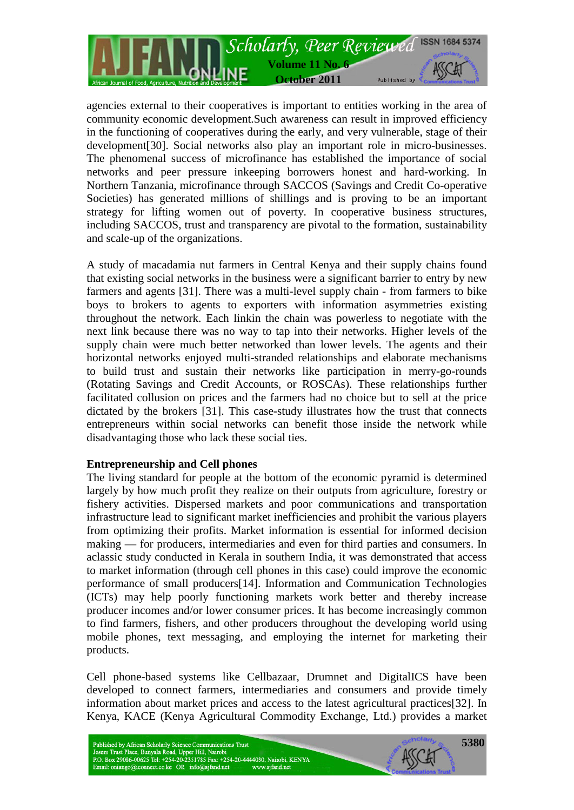

agencies external to their cooperatives is important to entities working in the area of community economic development.Such awareness can result in improved efficiency in the functioning of cooperatives during the early, and very vulnerable, stage of their development[30]. Social networks also play an important role in micro-businesses. The phenomenal success of microfinance has established the importance of social networks and peer pressure inkeeping borrowers honest and hard-working. In Northern Tanzania, microfinance through SACCOS (Savings and Credit Co-operative Societies) has generated millions of shillings and is proving to be an important strategy for lifting women out of poverty. In cooperative business structures, including SACCOS, trust and transparency are pivotal to the formation, sustainability and scale-up of the organizations.

A study of macadamia nut farmers in Central Kenya and their supply chains found that existing social networks in the business were a significant barrier to entry by new farmers and agents [31]. There was a multi-level supply chain - from farmers to bike boys to brokers to agents to exporters with information asymmetries existing throughout the network. Each linkin the chain was powerless to negotiate with the next link because there was no way to tap into their networks. Higher levels of the supply chain were much better networked than lower levels. The agents and their horizontal networks enjoyed multi-stranded relationships and elaborate mechanisms to build trust and sustain their networks like participation in merry-go-rounds (Rotating Savings and Credit Accounts, or ROSCAs). These relationships further facilitated collusion on prices and the farmers had no choice but to sell at the price dictated by the brokers [31]. This case-study illustrates how the trust that connects entrepreneurs within social networks can benefit those inside the network while disadvantaging those who lack these social ties.

#### **Entrepreneurship and Cell phones**

The living standard for people at the bottom of the economic pyramid is determined largely by how much profit they realize on their outputs from agriculture, forestry or fishery activities. Dispersed markets and poor communications and transportation infrastructure lead to significant market inefficiencies and prohibit the various players from optimizing their profits. Market information is essential for informed decision making — for producers, intermediaries and even for third parties and consumers. In aclassic study conducted in Kerala in southern India, it was demonstrated that access to market information (through cell phones in this case) could improve the economic performance of small producers[14]. Information and Communication Technologies (ICTs) may help poorly functioning markets work better and thereby increase producer incomes and/or lower consumer prices. It has become increasingly common to find farmers, fishers, and other producers throughout the developing world using mobile phones, text messaging, and employing the internet for marketing their products.

Cell phone-based systems like Cellbazaar, Drumnet and DigitalICS have been developed to connect farmers, intermediaries and consumers and provide timely information about market prices and access to the latest agricultural practices[32]. In Kenya, KACE (Kenya Agricultural Commodity Exchange, Ltd.) provides a market

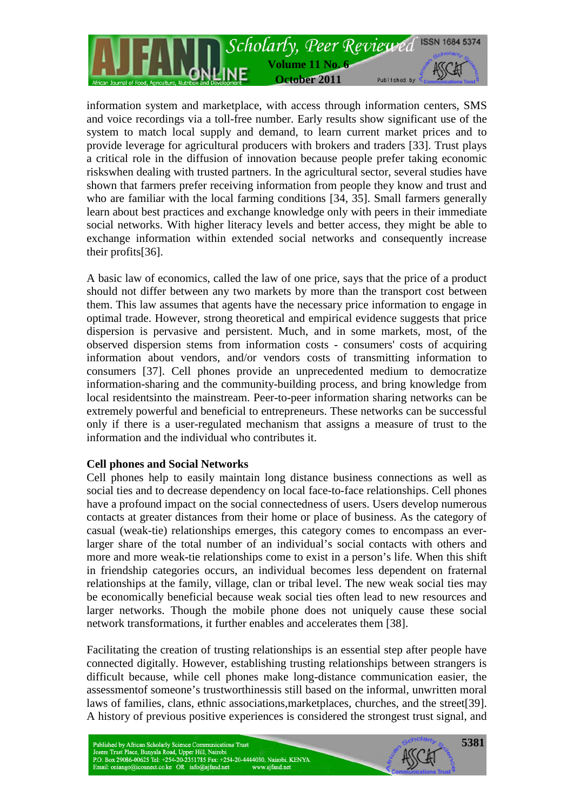

information system and marketplace, with access through information centers, SMS and voice recordings via a toll-free number. Early results show significant use of the system to match local supply and demand, to learn current market prices and to provide leverage for agricultural producers with brokers and traders [33]. Trust plays a critical role in the diffusion of innovation because people prefer taking economic riskswhen dealing with trusted partners. In the agricultural sector, several studies have shown that farmers prefer receiving information from people they know and trust and who are familiar with the local farming conditions [34, 35]. Small farmers generally learn about best practices and exchange knowledge only with peers in their immediate social networks. With higher literacy levels and better access, they might be able to exchange information within extended social networks and consequently increase their profits[36].

A basic law of economics, called the law of one price, says that the price of a product should not differ between any two markets by more than the transport cost between them. This law assumes that agents have the necessary price information to engage in optimal trade. However, strong theoretical and empirical evidence suggests that price dispersion is pervasive and persistent. Much, and in some markets, most, of the observed dispersion stems from information costs - consumers' costs of acquiring information about vendors, and/or vendors costs of transmitting information to consumers [37]. Cell phones provide an unprecedented medium to democratize information-sharing and the community-building process, and bring knowledge from local residentsinto the mainstream. Peer-to-peer information sharing networks can be extremely powerful and beneficial to entrepreneurs. These networks can be successful only if there is a user-regulated mechanism that assigns a measure of trust to the information and the individual who contributes it.

#### **Cell phones and Social Networks**

Cell phones help to easily maintain long distance business connections as well as social ties and to decrease dependency on local face-to-face relationships. Cell phones have a profound impact on the social connectedness of users. Users develop numerous contacts at greater distances from their home or place of business. As the category of casual (weak-tie) relationships emerges, this category comes to encompass an everlarger share of the total number of an individual's social contacts with others and more and more weak-tie relationships come to exist in a person's life. When this shift in friendship categories occurs, an individual becomes less dependent on fraternal relationships at the family, village, clan or tribal level. The new weak social ties may be economically beneficial because weak social ties often lead to new resources and larger networks. Though the mobile phone does not uniquely cause these social network transformations, it further enables and accelerates them [38].

Facilitating the creation of trusting relationships is an essential step after people have connected digitally. However, establishing trusting relationships between strangers is difficult because, while cell phones make long-distance communication easier, the assessmentof someone's trustworthinessis still based on the informal, unwritten moral laws of families, clans, ethnic associations,marketplaces, churches, and the street[39]. A history of previous positive experiences is considered the strongest trust signal, and

Published by African Scholarly Science Communications Trust<br>Josem Trust Place, Bunyala Road, Upper Hill, Nairobi<br>P.O. Box 29086-00625 Tel: +254-20-2351785 Fax: +254-20-4444030, Nairobi, KENYA Email: oniango@iconnect.co.ke OR info@ajfand.net www.ajfand.net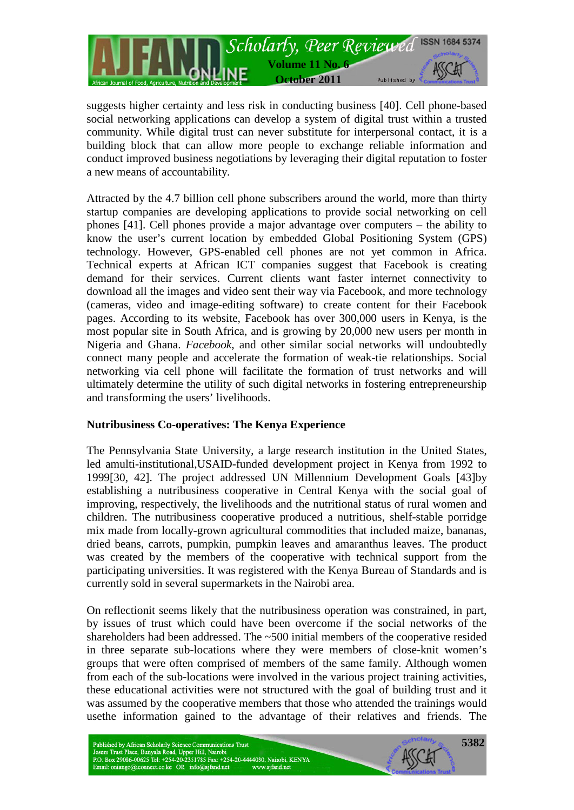

suggests higher certainty and less risk in conducting business [40]. Cell phone-based social networking applications can develop a system of digital trust within a trusted community. While digital trust can never substitute for interpersonal contact, it is a building block that can allow more people to exchange reliable information and conduct improved business negotiations by leveraging their digital reputation to foster a new means of accountability.

Attracted by the 4.7 billion cell phone subscribers around the world, more than thirty startup companies are developing applications to provide social networking on cell phones [41]. Cell phones provide a major advantage over computers – the ability to know the user's current location by embedded Global Positioning System (GPS) technology. However, GPS-enabled cell phones are not yet common in Africa. Technical experts at African ICT companies suggest that Facebook is creating demand for their services. Current clients want faster internet connectivity to download all the images and video sent their way via Facebook, and more technology (cameras, video and image-editing software) to create content for their Facebook pages. According to its website, Facebook has over 300,000 users in Kenya, is the most popular site in South Africa, and is growing by 20,000 new users per month in Nigeria and Ghana. *Facebook*, and other similar social networks will undoubtedly connect many people and accelerate the formation of weak-tie relationships. Social networking via cell phone will facilitate the formation of trust networks and will ultimately determine the utility of such digital networks in fostering entrepreneurship and transforming the users' livelihoods.

## **Nutribusiness Co-operatives: The Kenya Experience**

The Pennsylvania State University, a large research institution in the United States, led amulti-institutional,USAID-funded development project in Kenya from 1992 to 1999[30, 42]. The project addressed UN Millennium Development Goals [43]by establishing a nutribusiness cooperative in Central Kenya with the social goal of improving, respectively, the livelihoods and the nutritional status of rural women and children. The nutribusiness cooperative produced a nutritious, shelf-stable porridge mix made from locally-grown agricultural commodities that included maize, bananas, dried beans, carrots, pumpkin, pumpkin leaves and amaranthus leaves. The product was created by the members of the cooperative with technical support from the participating universities. It was registered with the Kenya Bureau of Standards and is currently sold in several supermarkets in the Nairobi area.

On reflectionit seems likely that the nutribusiness operation was constrained, in part, by issues of trust which could have been overcome if the social networks of the shareholders had been addressed. The ~500 initial members of the cooperative resided in three separate sub-locations where they were members of close-knit women's groups that were often comprised of members of the same family. Although women from each of the sub-locations were involved in the various project training activities, these educational activities were not structured with the goal of building trust and it was assumed by the cooperative members that those who attended the trainings would usethe information gained to the advantage of their relatives and friends. The

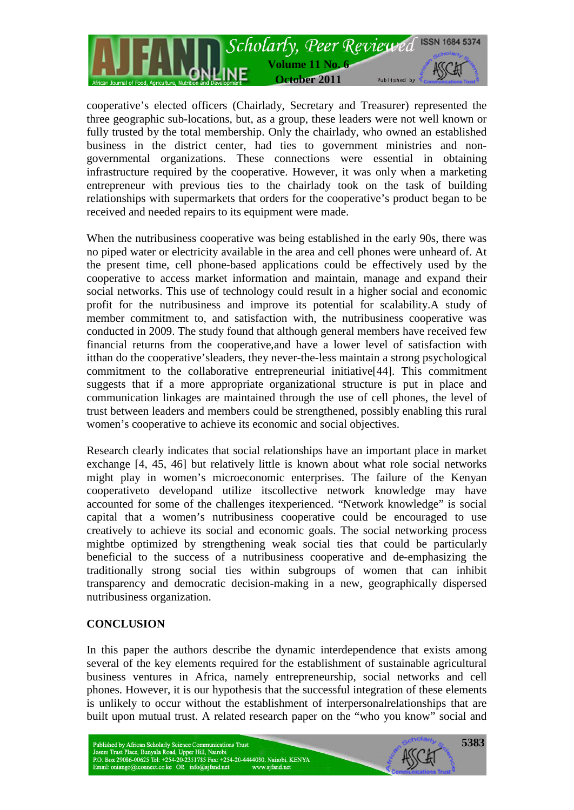

cooperative's elected officers (Chairlady, Secretary and Treasurer) represented the three geographic sub-locations, but, as a group, these leaders were not well known or fully trusted by the total membership. Only the chairlady, who owned an established business in the district center, had ties to government ministries and nongovernmental organizations. These connections were essential in obtaining infrastructure required by the cooperative. However, it was only when a marketing entrepreneur with previous ties to the chairlady took on the task of building relationships with supermarkets that orders for the cooperative's product began to be received and needed repairs to its equipment were made.

When the nutribusiness cooperative was being established in the early 90s, there was no piped water or electricity available in the area and cell phones were unheard of. At the present time, cell phone-based applications could be effectively used by the cooperative to access market information and maintain, manage and expand their social networks. This use of technology could result in a higher social and economic profit for the nutribusiness and improve its potential for scalability.A study of member commitment to, and satisfaction with, the nutribusiness cooperative was conducted in 2009. The study found that although general members have received few financial returns from the cooperative,and have a lower level of satisfaction with itthan do the cooperative'sleaders, they never-the-less maintain a strong psychological commitment to the collaborative entrepreneurial initiative[44]. This commitment suggests that if a more appropriate organizational structure is put in place and communication linkages are maintained through the use of cell phones, the level of trust between leaders and members could be strengthened, possibly enabling this rural women's cooperative to achieve its economic and social objectives.

Research clearly indicates that social relationships have an important place in market exchange [4, 45, 46] but relatively little is known about what role social networks might play in women's microeconomic enterprises. The failure of the Kenyan cooperativeto developand utilize itscollective network knowledge may have accounted for some of the challenges itexperienced. "Network knowledge" is social capital that a women's nutribusiness cooperative could be encouraged to use creatively to achieve its social and economic goals. The social networking process mightbe optimized by strengthening weak social ties that could be particularly beneficial to the success of a nutribusiness cooperative and de-emphasizing the traditionally strong social ties within subgroups of women that can inhibit transparency and democratic decision-making in a new, geographically dispersed nutribusiness organization.

## **CONCLUSION**

In this paper the authors describe the dynamic interdependence that exists among several of the key elements required for the establishment of sustainable agricultural business ventures in Africa, namely entrepreneurship, social networks and cell phones. However, it is our hypothesis that the successful integration of these elements is unlikely to occur without the establishment of interpersonalrelationships that are built upon mutual trust. A related research paper on the "who you know" social and

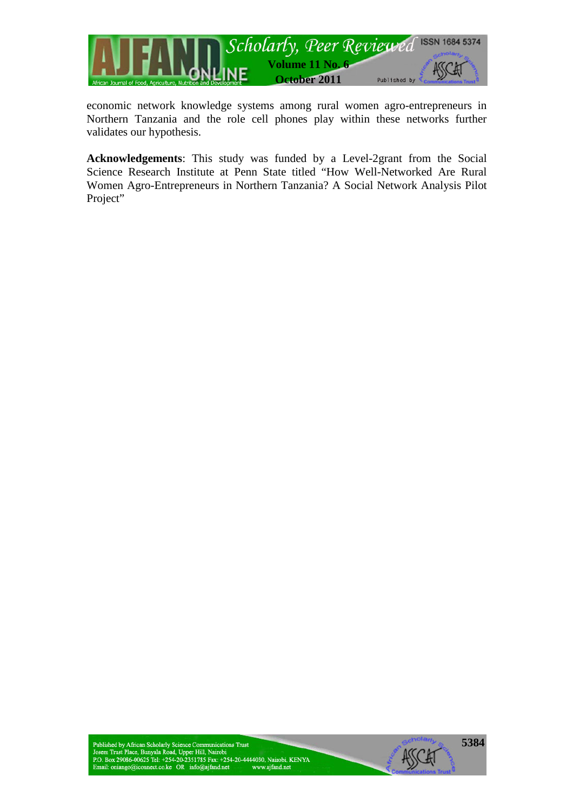

economic network knowledge systems among rural women agro-entrepreneurs in Northern Tanzania and the role cell phones play within these networks further validates our hypothesis.

**Acknowledgements**: This study was funded by a Level-2grant from the Social Science Research Institute at Penn State titled "How Well-Networked Are Rural Women Agro-Entrepreneurs in Northern Tanzania? A Social Network Analysis Pilot Project"

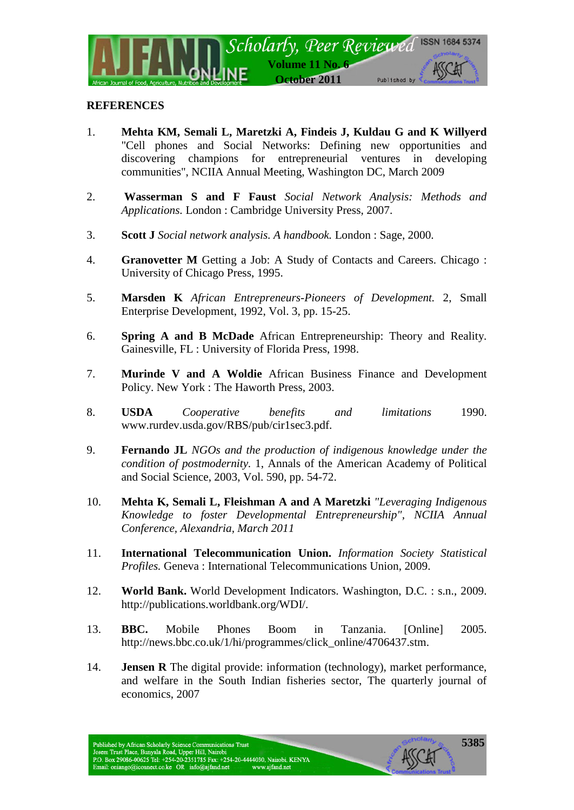

## **REFERENCES**

- 1. **Mehta KM, Semali L, Maretzki A, Findeis J, Kuldau G and K Willyerd** "Cell phones and Social Networks: Defining new opportunities and discovering champions for entrepreneurial ventures in developing communities", NCIIA Annual Meeting, Washington DC, March 2009
- 2. **Wasserman S and F Faust** *Social Network Analysis: Methods and Applications.* London : Cambridge University Press, 2007.
- 3. **Scott J** *Social network analysis. A handbook.* London : Sage, 2000.
- 4. **Granovetter M** Getting a Job: A Study of Contacts and Careers. Chicago : University of Chicago Press, 1995.
- 5. **Marsden K** *African Entrepreneurs-Pioneers of Development.* 2, Small Enterprise Development, 1992, Vol. 3, pp. 15-25.
- 6. **Spring A and B McDade** African Entrepreneurship: Theory and Reality. Gainesville, FL : University of Florida Press, 1998.
- 7. **Murinde V and A Woldie** African Business Finance and Development Policy. New York : The Haworth Press, 2003.
- 8. **USDA** *Cooperative benefits and limitations* 1990. www.rurdev.usda.gov/RBS/pub/cir1sec3.pdf.
- 9. **Fernando JL** *NGOs and the production of indigenous knowledge under the condition of postmodernity.* 1, Annals of the American Academy of Political and Social Science, 2003, Vol. 590, pp. 54-72.
- 10. **Mehta K, Semali L, Fleishman A and A Maretzki** *"Leveraging Indigenous Knowledge to foster Developmental Entrepreneurship", NCIIA Annual Conference, Alexandria, March 2011*
- 11. **International Telecommunication Union.** *Information Society Statistical Profiles.* Geneva : International Telecommunications Union, 2009.
- 12. **World Bank.** World Development Indicators. Washington, D.C. : s.n., 2009. http://publications.worldbank.org/WDI/.
- 13. **BBC.** Mobile Phones Boom in Tanzania. [Online] 2005. http://news.bbc.co.uk/1/hi/programmes/click\_online/4706437.stm.
- 14. **Jensen R** The digital provide: information (technology), market performance, and welfare in the South Indian fisheries sector, The quarterly journal of economics, 2007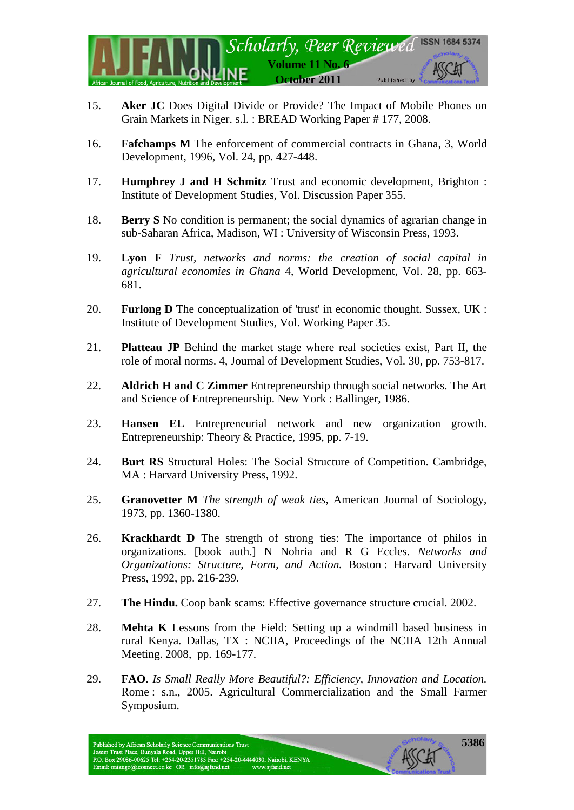

- 15. **Aker JC** Does Digital Divide or Provide? The Impact of Mobile Phones on Grain Markets in Niger. s.l. : BREAD Working Paper # 177, 2008.
- 16. **Fafchamps M** The enforcement of commercial contracts in Ghana, 3, World Development, 1996, Vol. 24, pp. 427-448.
- 17. **Humphrey J and H Schmitz** Trust and economic development, Brighton : Institute of Development Studies, Vol. Discussion Paper 355.
- 18. **Berry S** No condition is permanent; the social dynamics of agrarian change in sub-Saharan Africa, Madison, WI : University of Wisconsin Press, 1993.
- 19. **Lyon F** *Trust, networks and norms: the creation of social capital in agricultural economies in Ghana* 4, World Development, Vol. 28, pp. 663- 681.
- 20. **Furlong D** The conceptualization of 'trust' in economic thought. Sussex, UK : Institute of Development Studies, Vol. Working Paper 35.
- 21. **Platteau JP** Behind the market stage where real societies exist, Part II, the role of moral norms. 4, Journal of Development Studies, Vol. 30, pp. 753-817.
- 22. **Aldrich H and C Zimmer** Entrepreneurship through social networks. The Art and Science of Entrepreneurship. New York : Ballinger, 1986.
- 23. **Hansen EL** Entrepreneurial network and new organization growth. Entrepreneurship: Theory & Practice, 1995, pp. 7-19.
- 24. **Burt RS** Structural Holes: The Social Structure of Competition. Cambridge, MA : Harvard University Press, 1992.
- 25. **Granovetter M** *The strength of weak ties*, American Journal of Sociology, 1973, pp. 1360-1380.
- 26. **Krackhardt D** The strength of strong ties: The importance of philos in organizations. [book auth.] N Nohria and R G Eccles. *Networks and Organizations: Structure, Form, and Action.* Boston : Harvard University Press, 1992, pp. 216-239.
- 27. **The Hindu.** Coop bank scams: Effective governance structure crucial. 2002.
- 28. **Mehta K** Lessons from the Field: Setting up a windmill based business in rural Kenya. Dallas, TX : NCIIA, Proceedings of the NCIIA 12th Annual Meeting. 2008, pp. 169-177.
- 29. **FAO**. *Is Small Really More Beautiful?: Efficiency, Innovation and Location.*  Rome : s.n., 2005. Agricultural Commercialization and the Small Farmer Symposium.

Published by African Scholarly Science Communications Trust<br>Josem Trust Place, Bunyala Road, Upper Hill, Nairobi<br>P.O. Box 29086-00625 Tel: +254-20-2351785 Fax: +254-20-4444030, Nairobi, KENYA Email: oniango@iconnect.co.ke OR info@ajfand.net www.ajfand.net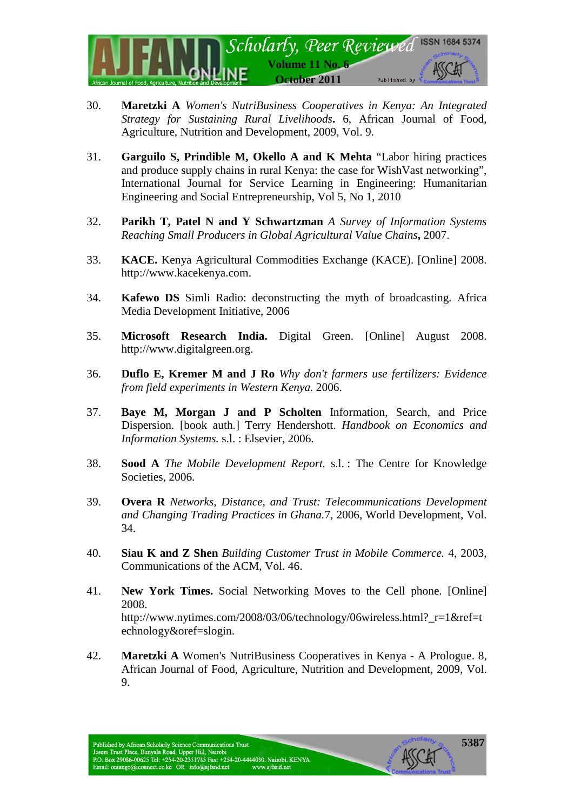

- 30. **Maretzki A** *Women's NutriBusiness Cooperatives in Kenya: An Integrated Strategy for Sustaining Rural Livelihoods***.** 6, African Journal of Food, Agriculture, Nutrition and Development, 2009, Vol. 9.
- 31. **Garguilo S, Prindible M, Okello A and K Mehta** "Labor hiring practices and produce supply chains in rural Kenya: the case for WishVast networking", International Journal for Service Learning in Engineering: Humanitarian Engineering and Social Entrepreneurship, Vol 5, No 1, 2010
- 32. **Parikh T, Patel N and Y Schwartzman** *A Survey of Information Systems Reaching Small Producers in Global Agricultural Value Chains***,** 2007.
- 33. **KACE.** Kenya Agricultural Commodities Exchange (KACE). [Online] 2008. http://www.kacekenya.com.
- 34. **Kafewo DS** Simli Radio: deconstructing the myth of broadcasting. Africa Media Development Initiative, 2006
- 35. **Microsoft Research India.** Digital Green. [Online] August 2008. http://www.digitalgreen.org.
- 36. **Duflo E, Kremer M and J Ro** *Why don't farmers use fertilizers: Evidence from field experiments in Western Kenya.* 2006.
- 37. **Baye M, Morgan J and P Scholten** Information, Search, and Price Dispersion. [book auth.] Terry Hendershott. *Handbook on Economics and Information Systems.* s.l. : Elsevier, 2006.
- 38. **Sood A** *The Mobile Development Report.* s.l. : The Centre for Knowledge Societies, 2006.
- 39. **Overa R** *Networks, Distance, and Trust: Telecommunications Development and Changing Trading Practices in Ghana.*7, 2006, World Development, Vol. 34.
- 40. **Siau K and Z Shen** *Building Customer Trust in Mobile Commerce.* 4, 2003, Communications of the ACM, Vol. 46.
- 41. **New York Times.** Social Networking Moves to the Cell phone. [Online] 2008. http://www.nytimes.com/2008/03/06/technology/06wireless.html?\_r=1&ref=t echnology&oref=slogin.
- 42. **Maretzki A** Women's NutriBusiness Cooperatives in Kenya A Prologue. 8, African Journal of Food, Agriculture, Nutrition and Development, 2009, Vol. 9.